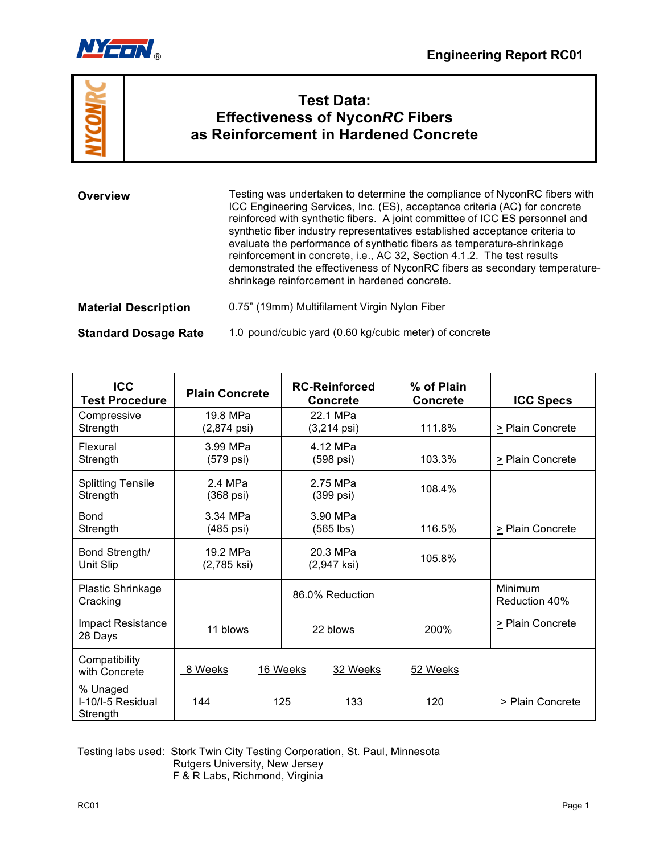



# **Test Data: Effectiveness of Nycon***RC* **Fibers as Reinforcement in Hardened Concrete**

| Overview                    | Testing was undertaken to determine the compliance of NyconRC fibers with<br>ICC Engineering Services, Inc. (ES), acceptance criteria (AC) for concrete<br>reinforced with synthetic fibers. A joint committee of ICC ES personnel and<br>synthetic fiber industry representatives established acceptance criteria to<br>evaluate the performance of synthetic fibers as temperature-shrinkage<br>reinforcement in concrete, i.e., AC 32, Section 4.1.2. The test results<br>demonstrated the effectiveness of NyconRC fibers as secondary temperature-<br>shrinkage reinforcement in hardened concrete. |  |
|-----------------------------|----------------------------------------------------------------------------------------------------------------------------------------------------------------------------------------------------------------------------------------------------------------------------------------------------------------------------------------------------------------------------------------------------------------------------------------------------------------------------------------------------------------------------------------------------------------------------------------------------------|--|
| <b>Material Description</b> | 0.75" (19mm) Multifilament Virgin Nylon Fiber                                                                                                                                                                                                                                                                                                                                                                                                                                                                                                                                                            |  |
| <b>Standard Dosage Rate</b> | 1.0 pound/cubic yard (0.60 kg/cubic meter) of concrete                                                                                                                                                                                                                                                                                                                                                                                                                                                                                                                                                   |  |

| <b>ICC</b><br><b>Test Procedure</b>       | <b>Plain Concrete</b>             | <b>RC-Reinforced</b><br><b>Concrete</b> | % of Plain<br><b>Concrete</b> | <b>ICC Specs</b>         |
|-------------------------------------------|-----------------------------------|-----------------------------------------|-------------------------------|--------------------------|
| Compressive<br>Strength                   | 19.8 MPa<br>$(2,874 \text{ psi})$ | 22.1 MPa<br>$(3,214 \text{ psi})$       | 111.8%                        | > Plain Concrete         |
| Flexural<br>Strength                      | 3.99 MPa<br>(579 psi)             | 4.12 MPa<br>(598 psi)                   | 103.3%                        | > Plain Concrete         |
| <b>Splitting Tensile</b><br>Strength      | 2.4 MPa<br>$(368 \text{ psi})$    | 2.75 MPa<br>$(399 \text{ psi})$         | 108.4%                        |                          |
| Bond<br>Strength                          | 3.34 MPa<br>(485 psi)             | 3.90 MPa<br>$(565$ lbs)                 | 116.5%                        | > Plain Concrete         |
| Bond Strength/<br>Unit Slip               | 19.2 MPa<br>(2,785 ksi)           | 20.3 MPa<br>$(2,947$ ksi)               | 105.8%                        |                          |
| <b>Plastic Shrinkage</b><br>Cracking      |                                   | 86.0% Reduction                         |                               | Minimum<br>Reduction 40% |
| Impact Resistance<br>28 Days              | 11 blows                          | 22 blows                                | 200%                          | > Plain Concrete         |
| Compatibility<br>with Concrete            | 8 Weeks                           | 16 Weeks<br>32 Weeks                    | 52 Weeks                      |                          |
| % Unaged<br>I-10/I-5 Residual<br>Strength | 144                               | 125<br>133                              | 120                           | > Plain Concrete         |

Testing labs used: Stork Twin City Testing Corporation, St. Paul, Minnesota Rutgers University, New Jersey F & R Labs, Richmond, Virginia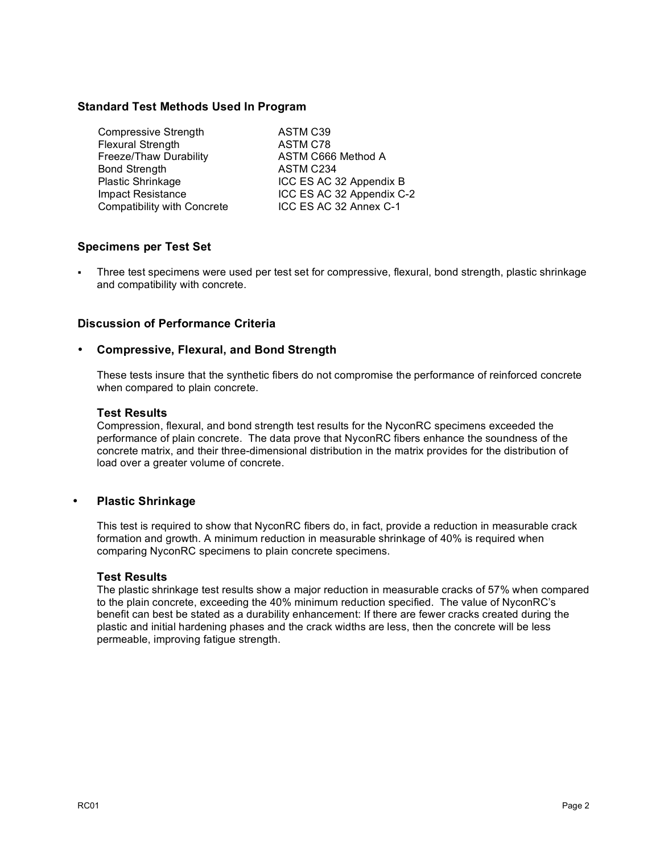# **Standard Test Methods Used In Program**

| ASTM C39                  |
|---------------------------|
| ASTM C78                  |
| ASTM C666 Method A        |
| ASTM C234                 |
| ICC ES AC 32 Appendix B   |
| ICC ES AC 32 Appendix C-2 |
| ICC ES AC 32 Annex C-1    |
|                           |

# **Specimens per Test Set**

 Three test specimens were used per test set for compressive, flexural, bond strength, plastic shrinkage and compatibility with concrete.

# **Discussion of Performance Criteria**

# • **Compressive, Flexural, and Bond Strength**

These tests insure that the synthetic fibers do not compromise the performance of reinforced concrete when compared to plain concrete.

#### **Test Results**

Compression, flexural, and bond strength test results for the NyconRC specimens exceeded the performance of plain concrete. The data prove that NyconRC fibers enhance the soundness of the concrete matrix, and their three-dimensional distribution in the matrix provides for the distribution of load over a greater volume of concrete.

#### • **Plastic Shrinkage**

This test is required to show that NyconRC fibers do, in fact, provide a reduction in measurable crack formation and growth. A minimum reduction in measurable shrinkage of 40% is required when comparing NyconRC specimens to plain concrete specimens.

#### **Test Results**

The plastic shrinkage test results show a major reduction in measurable cracks of 57% when compared to the plain concrete, exceeding the 40% minimum reduction specified. The value of NyconRC's benefit can best be stated as a durability enhancement: If there are fewer cracks created during the plastic and initial hardening phases and the crack widths are less, then the concrete will be less permeable, improving fatigue strength.